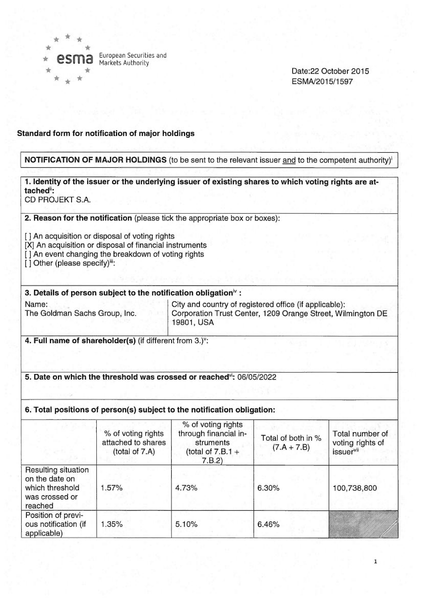

European Securities and Markets Authority

Date:22 October 2015 ESMA/2015/1597

#### Standard form for notification of major holdings

#### NOTIFICATION OF MAJOR HOLDINGS (to be sent to the relevant issuer and to the competent authority)'

# 1. Identity of the issuer or the underlying issuer of existing shares to which voting rights are attached":

CD PROJEKT S.A.

2. Reason for the notification (please tick the appropriate box or boxes):

[] An acquisition or disposal of voting rights

- [X] An acquisition or disposal of financial instruments
- [] An event changing the breakdown of voting rights

[] Other (please specify)<sup>iii</sup>:

### 3. Details of person subject to the notification obligation $^{\flat}$ :

Name:<br>
City and country of registered office (if applicable):<br>
Corporation Trust Center, 1209 Orange Street, Wil Corporation Trust Center, 1209 Orange Street, Wilmington DE 19801, USA

4. Full name of shareholder(s) (if different from  $3.$ )<sup>v</sup>:

#### 5. Date on which the threshold was crossed or reached': 06/05/2022

#### 6. Total positions of person(s) subject to the notification obligation:

|                                                                                       | % of voting rights<br>attached to shares<br>(total of 7.A) | % of voting rights<br>through financial in-<br>struments<br>(total of $7.B.1 +$<br>7.B.2) | Total of both in %<br>$(7.A + 7.B)$ | Total number of<br>voting rights of<br><i>issuer</i> <sup>vii</sup> |
|---------------------------------------------------------------------------------------|------------------------------------------------------------|-------------------------------------------------------------------------------------------|-------------------------------------|---------------------------------------------------------------------|
| Resulting situation<br>on the date on<br>which threshold<br>was crossed or<br>reached | 1.57%                                                      | 4.73%                                                                                     | 6.30%                               | 100,738,800                                                         |
| Position of previ-<br>ous notification (if<br>applicable)                             | 1.35%                                                      | 5.10%                                                                                     | 6.46%                               |                                                                     |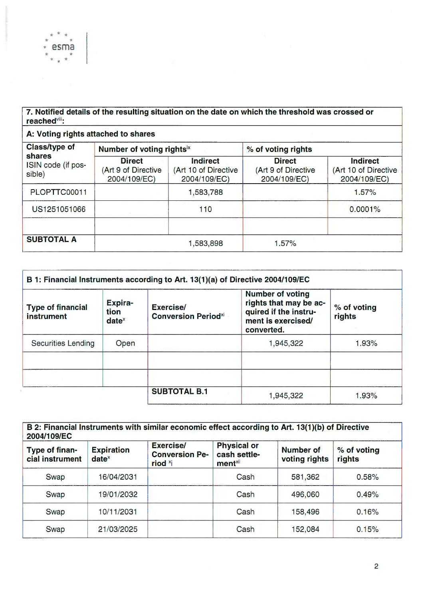## 7. Notified details of the resulting situation on the date on which the threshold was crossed or reached"'.

A: Voting rights attached to shares

\* \*

<sup>~</sup> ~~

าล

| <b>Class/type of</b><br>shares<br>ISIN code (if pos-<br>sible) | Number of voting rightsix                            |                                                         | % of voting rights                                   |                                                         |
|----------------------------------------------------------------|------------------------------------------------------|---------------------------------------------------------|------------------------------------------------------|---------------------------------------------------------|
|                                                                | <b>Direct</b><br>(Art 9 of Directive<br>2004/109/EC) | <b>Indirect</b><br>(Art 10 of Directive<br>2004/109/EC) | <b>Direct</b><br>(Art 9 of Directive<br>2004/109/EC) | <b>Indirect</b><br>(Art 10 of Directive<br>2004/109/EC) |
| PLOPTTC00011                                                   |                                                      | 1,583,788                                               |                                                      | 1.57%                                                   |
| US1251051066                                                   |                                                      | 110                                                     |                                                      | 0.0001%                                                 |
| <b>SUBTOTAL A</b>                                              |                                                      | 1,583,898                                               | 1.57%                                                |                                                         |

| <b>Type of financial</b><br>instrument | Expira-<br>Exercise/<br>tion<br><b>Conversion Periodxi</b><br>$date^x$ |                     | <b>Number of voting</b><br>rights that may be ac-<br>quired if the instru-<br>ment is exercised/<br>converted. | % of voting<br>rights |
|----------------------------------------|------------------------------------------------------------------------|---------------------|----------------------------------------------------------------------------------------------------------------|-----------------------|
| <b>Securities Lending</b>              | Open                                                                   |                     | 1,945,322                                                                                                      | 1.93%                 |
|                                        |                                                                        | <b>SUBTOTAL B.1</b> | 1,945,322                                                                                                      | 1.93%                 |

| Type of finan-<br>cial instrument | <b>Expiration</b><br>$date^x$ | <b>Exercise/</b><br><b>Conversion Pe-</b><br>riod <sup>x</sup> i | <b>Physical or</b><br>cash settle-<br>ment <sup>xii</sup> | Number of<br>voting rights | % of voting<br>rights |
|-----------------------------------|-------------------------------|------------------------------------------------------------------|-----------------------------------------------------------|----------------------------|-----------------------|
| Swap                              | 16/04/2031                    |                                                                  | Cash                                                      | 581,362                    | 0.58%                 |
| Swap                              | 19/01/2032                    |                                                                  | Cash                                                      | 496,060                    | 0.49%                 |
| Swap                              | 10/11/2031                    |                                                                  | Cash                                                      | 158,496                    | 0.16%                 |
| Swap                              | 21/03/2025                    |                                                                  | Cash                                                      | 152,084                    | 0.15%                 |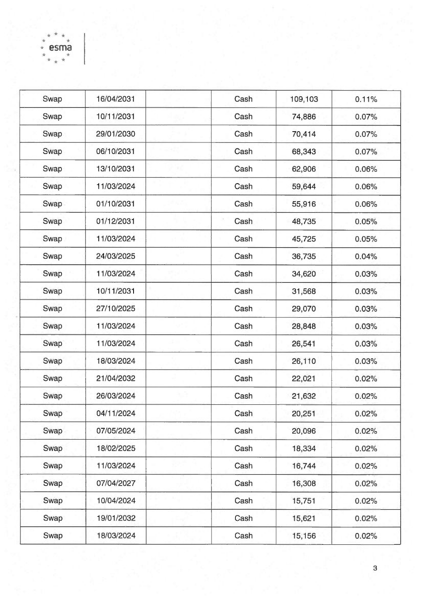| Swap | 16/04/2031 | Cash | 109,103 | 0.11% |
|------|------------|------|---------|-------|
| Swap | 10/11/2031 | Cash | 74,886  | 0.07% |
| Swap | 29/01/2030 | Cash | 70,414  | 0.07% |
| Swap | 06/10/2031 | Cash | 68,343  | 0.07% |
| Swap | 13/10/2031 | Cash | 62,906  | 0.06% |
| Swap | 11/03/2024 | Cash | 59,644  | 0.06% |
| Swap | 01/10/2031 | Cash | 55,916  | 0.06% |
| Swap | 01/12/2031 | Cash | 48,735  | 0.05% |
| Swap | 11/03/2024 | Cash | 45,725  | 0.05% |
| Swap | 24/03/2025 | Cash | 36,735  | 0.04% |
| Swap | 11/03/2024 | Cash | 34,620  | 0.03% |
| Swap | 10/11/2031 | Cash | 31,568  | 0.03% |
| Swap | 27/10/2025 | Cash | 29,070  | 0.03% |
| Swap | 11/03/2024 | Cash | 28,848  | 0.03% |
| Swap | 11/03/2024 | Cash | 26,541  | 0.03% |
| Swap | 18/03/2024 | Cash | 26,110  | 0.03% |
| Swap | 21/04/2032 | Cash | 22,021  | 0.02% |
| Swap | 26/03/2024 | Cash | 21,632  | 0.02% |
| Swap | 04/11/2024 | Cash | 20,251  | 0.02% |
| Swap | 07/05/2024 | Cash | 20,096  | 0.02% |
| Swap | 18/02/2025 | Cash | 18,334  | 0.02% |
| Swap | 11/03/2024 | Cash | 16,744  | 0.02% |
| Swap | 07/04/2027 | Cash | 16,308  | 0.02% |
| Swap | 10/04/2024 | Cash | 15,751  | 0.02% |
| Swap | 19/01/2032 | Cash | 15,621  | 0.02% |
| Swap | 18/03/2024 | Cash | 15,156  | 0.02% |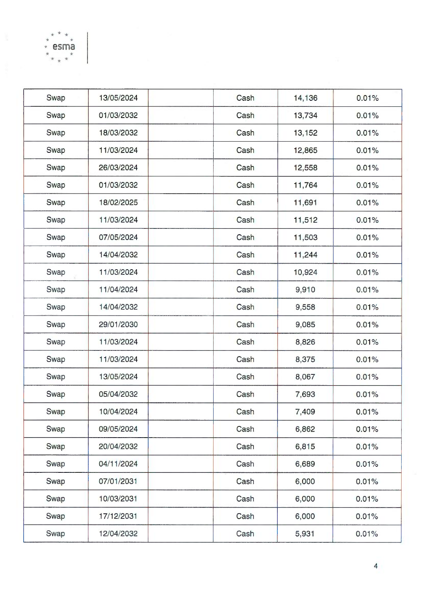| Swap | 13/05/2024 | Cash | 14,136 | 0.01% |
|------|------------|------|--------|-------|
| Swap | 01/03/2032 | Cash | 13,734 | 0.01% |
| Swap | 18/03/2032 | Cash | 13,152 | 0.01% |
| Swap | 11/03/2024 | Cash | 12,865 | 0.01% |
| Swap | 26/03/2024 | Cash | 12,558 | 0.01% |
| Swap | 01/03/2032 | Cash | 11,764 | 0.01% |
| Swap | 18/02/2025 | Cash | 11,691 | 0.01% |
| Swap | 11/03/2024 | Cash | 11,512 | 0.01% |
| Swap | 07/05/2024 | Cash | 11,503 | 0.01% |
| Swap | 14/04/2032 | Cash | 11,244 | 0.01% |
| Swap | 11/03/2024 | Cash | 10,924 | 0.01% |
| Swap | 11/04/2024 | Cash | 9,910  | 0.01% |
| Swap | 14/04/2032 | Cash | 9,558  | 0.01% |
| Swap | 29/01/2030 | Cash | 9,085  | 0.01% |
| Swap | 11/03/2024 | Cash | 8,826  | 0.01% |
| Swap | 11/03/2024 | Cash | 8,375  | 0.01% |
| Swap | 13/05/2024 | Cash | 8,067  | 0.01% |
| Swap | 05/04/2032 | Cash | 7,693  | 0.01% |
| Swap | 10/04/2024 | Cash | 7,409  | 0.01% |
| Swap | 09/05/2024 | Cash | 6,862  | 0.01% |
| Swap | 20/04/2032 | Cash | 6,815  | 0.01% |
| Swap | 04/11/2024 | Cash | 6,689  | 0.01% |
| Swap | 07/01/2031 | Cash | 6,000  | 0.01% |
| Swap | 10/03/2031 | Cash | 6,000  | 0.01% |
| Swap | 17/12/2031 | Cash | 6,000  | 0.01% |
| Swap | 12/04/2032 | Cash | 5,931  | 0.01% |

esmå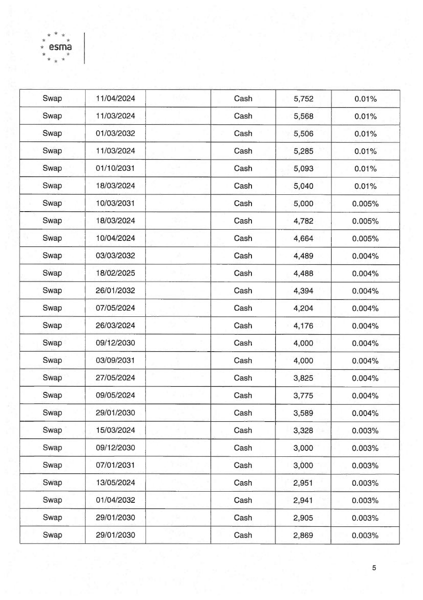| Swap | 11/04/2024 | Cash | 5,752 | 0.01%  |
|------|------------|------|-------|--------|
| Swap | 11/03/2024 | Cash | 5,568 | 0.01%  |
| Swap | 01/03/2032 | Cash | 5,506 | 0.01%  |
| Swap | 11/03/2024 | Cash | 5,285 | 0.01%  |
| Swap | 01/10/2031 | Cash | 5,093 | 0.01%  |
| Swap | 18/03/2024 | Cash | 5,040 | 0.01%  |
| Swap | 10/03/2031 | Cash | 5,000 | 0.005% |
| Swap | 18/03/2024 | Cash | 4,782 | 0.005% |
| Swap | 10/04/2024 | Cash | 4,664 | 0.005% |
| Swap | 03/03/2032 | Cash | 4,489 | 0.004% |
| Swap | 18/02/2025 | Cash | 4,488 | 0.004% |
| Swap | 26/01/2032 | Cash | 4,394 | 0.004% |
| Swap | 07/05/2024 | Cash | 4,204 | 0.004% |
| Swap | 26/03/2024 | Cash | 4,176 | 0.004% |
| Swap | 09/12/2030 | Cash | 4,000 | 0.004% |
| Swap | 03/09/2031 | Cash | 4,000 | 0.004% |
| Swap | 27/05/2024 | Cash | 3,825 | 0.004% |
| Swap | 09/05/2024 | Cash | 3,775 | 0.004% |
| Swap | 29/01/2030 | Cash | 3,589 | 0.004% |
| Swap | 15/03/2024 | Cash | 3,328 | 0.003% |
| Swap | 09/12/2030 | Cash | 3,000 | 0.003% |
| Swap | 07/01/2031 | Cash | 3,000 | 0.003% |
| Swap | 13/05/2024 | Cash | 2,951 | 0.003% |
| Swap | 01/04/2032 | Cash | 2,941 | 0.003% |
| Swap | 29/01/2030 | Cash | 2,905 | 0.003% |
| Swap | 29/01/2030 | Cash | 2,869 | 0.003% |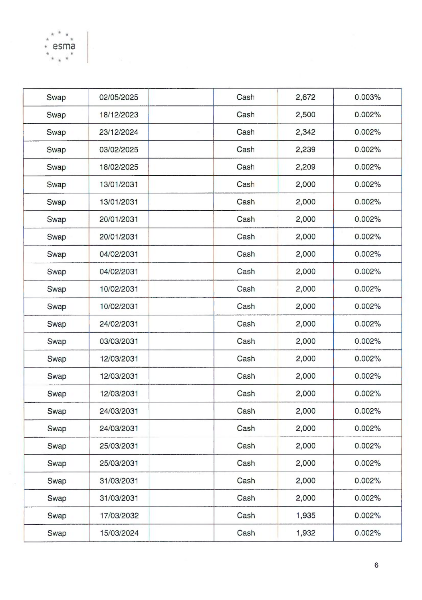| Swap | 02/05/2025 | Cash | 2,672 | 0.003% |
|------|------------|------|-------|--------|
| Swap | 18/12/2023 | Cash | 2,500 | 0.002% |
| Swap | 23/12/2024 | Cash | 2,342 | 0.002% |
| Swap | 03/02/2025 | Cash | 2,239 | 0.002% |
| Swap | 18/02/2025 | Cash | 2,209 | 0.002% |
| Swap | 13/01/2031 | Cash | 2,000 | 0.002% |
| Swap | 13/01/2031 | Cash | 2,000 | 0.002% |
| Swap | 20/01/2031 | Cash | 2,000 | 0.002% |
| Swap | 20/01/2031 | Cash | 2,000 | 0.002% |
| Swap | 04/02/2031 | Cash | 2,000 | 0.002% |
| Swap | 04/02/2031 | Cash | 2,000 | 0.002% |
| Swap | 10/02/2031 | Cash | 2,000 | 0.002% |
| Swap | 10/02/2031 | Cash | 2,000 | 0.002% |
| Swap | 24/02/2031 | Cash | 2,000 | 0.002% |
| Swap | 03/03/2031 | Cash | 2,000 | 0.002% |
| Swap | 12/03/2031 | Cash | 2,000 | 0.002% |
| Swap | 12/03/2031 | Cash | 2,000 | 0.002% |
| Swap | 12/03/2031 | Cash | 2,000 | 0.002% |
| Swap | 24/03/2031 | Cash | 2,000 | 0.002% |
| Swap | 24/03/2031 | Cash | 2,000 | 0.002% |
| Swap | 25/03/2031 | Cash | 2,000 | 0.002% |
| Swap | 25/03/2031 | Cash | 2,000 | 0.002% |
| Swap | 31/03/2031 | Cash | 2,000 | 0.002% |
| Swap | 31/03/2031 | Cash | 2,000 | 0.002% |
| Swap | 17/03/2032 | Cash | 1,935 | 0.002% |
| Swap | 15/03/2024 | Cash | 1,932 | 0.002% |
|      |            |      |       |        |

 $esm\ddot{a}$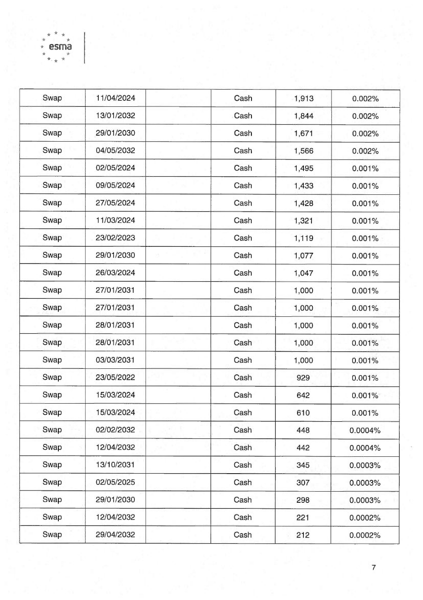Swap 11/04/2024 Cash 1,913 0.002% Swap 13/01 /2032 Cash 1,844 0.002% Swap 29/01/2030 Cash 1,671 0.002% Swap 04/05/2032 Cash 1,566 0.002% Swap 02/05/2024 | Cash | 1,495 | 0.001% Swap 09/05/2024 Cash 1,433 0.001% Swap | 27/05/2024 | Cash | 1,428 | 0.001% Swap 11 /03/2024 Cash 1,321 0.001 Swap 23/02/2023 Cash 1,119 0.001% Swap 29/01/2030 Cash 1,077 0.001% Swap | 26/03/2024 | Cash | 1,047 | 0.001% Swap 27/01/2031 | Cash | 1,000 | 0.001% Swap | 27/01/2031 | Cash | 1,000 | 0.001% Swap 28/01/2031 | Cash 1,000 0.001% Swap 28/01/2031 | Cash 1,000 | 0.001% Swap 03/03/2031 Cash 1,000 0.001% Swap 23/05/2022 Cash 929 0.001% Swap | 15/03/2024 | Cash | 642 | 0.001% Swap | 15/03/2024 | Cash | 610 | 0.001% Swap | 02/02/2032 | Cash | 448 | 0.0004% Swap | 12/04/2032 | Cash | 442 | 0.0004% Swap | 13/10/2031 | Cash | 345 | 0.0003% Swap 02/05/2025 Cash 307 0.0003% Swap 29/01/2030 Cash 298 0.0003% Swap | 12/04/2032 | Cash | 221 | 0.0002% Swap | 29/04/2032 | Cash | 212 | 0.0002%

 $\kappa$   $\sim$   $\kappa$ esma  $\star$   $*$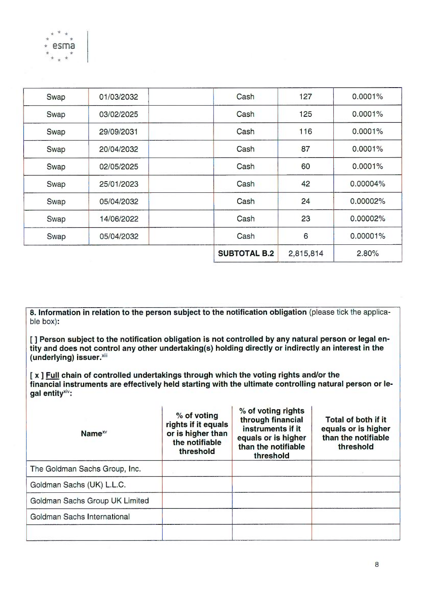|      |            | <b>SUBTOTAL B.2</b> | 2,815,814 | 2.80%    |
|------|------------|---------------------|-----------|----------|
| Swap | 05/04/2032 | Cash                | 6         | 0.00001% |
| Swap | 14/06/2022 | Cash                | 23        | 0.00002% |
| Swap | 05/04/2032 | Cash                | 24        | 0.00002% |
| Swap | 25/01/2023 | Cash                | 42        | 0.00004% |
| Swap | 02/05/2025 | Cash                | 60        | 0.0001%  |
| Swap | 20/04/2032 | Cash                | 87        | 0.0001%  |
| Swap | 29/09/2031 | Cash                | 116       | 0.0001%  |
| Swap | 03/02/2025 | Cash                | 125       | 0.0001%  |
| Swap | 01/03/2032 | Cash                | 127       | 0.0001%  |

\* \* esma \* ~

8. Information in relation to the person subject to the notification obligation (please tick the applicable box):

[] Person subject to the notification obligation is not controlled by any natural person or legal entity and does not control any other undertaking(s) holding directly or indirectly an interest in the (underlying) issuer. xili

[x] Full chain of controlled undertakings through which the voting rights and/or the financial instruments are effectively held starting with the ultimate controlling natural person or legal entity<sup>xiv</sup>:

| Name <sup><math>x</math></sup> | % of voting<br>rights if it equals<br>or is higher than<br>the notifiable<br>threshold | % of voting rights<br>through financial<br>instruments if it<br>equals or is higher<br>than the notifiable<br>threshold | Total of both if it<br>equals or is higher<br>than the notifiable<br>threshold |
|--------------------------------|----------------------------------------------------------------------------------------|-------------------------------------------------------------------------------------------------------------------------|--------------------------------------------------------------------------------|
| The Goldman Sachs Group, Inc.  |                                                                                        |                                                                                                                         |                                                                                |
| Goldman Sachs (UK) L.L.C.      |                                                                                        |                                                                                                                         |                                                                                |
| Goldman Sachs Group UK Limited |                                                                                        |                                                                                                                         |                                                                                |
| Goldman Sachs International    |                                                                                        |                                                                                                                         |                                                                                |
|                                |                                                                                        |                                                                                                                         |                                                                                |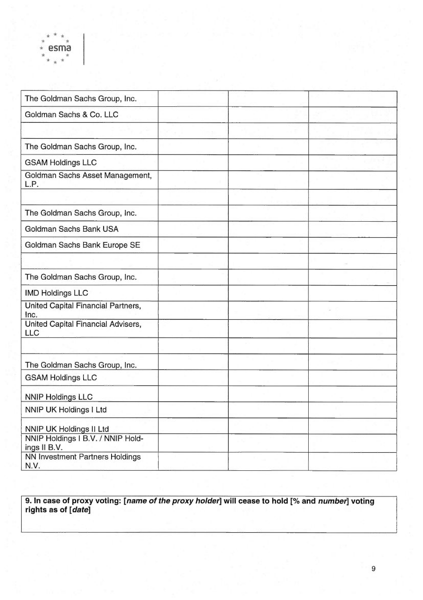| The Goldman Sachs Group, Inc.                     |  |  |
|---------------------------------------------------|--|--|
| Goldman Sachs & Co. LLC                           |  |  |
|                                                   |  |  |
| The Goldman Sachs Group, Inc.                     |  |  |
| <b>GSAM Holdings LLC</b>                          |  |  |
| Goldman Sachs Asset Management,<br>L.P.           |  |  |
|                                                   |  |  |
| The Goldman Sachs Group, Inc.                     |  |  |
| Goldman Sachs Bank USA                            |  |  |
| Goldman Sachs Bank Europe SE                      |  |  |
|                                                   |  |  |
| The Goldman Sachs Group, Inc.                     |  |  |
| <b>IMD Holdings LLC</b>                           |  |  |
| United Capital Financial Partners,<br>Inc.        |  |  |
| United Capital Financial Advisers,<br><b>LLC</b>  |  |  |
|                                                   |  |  |
| The Goldman Sachs Group, Inc.                     |  |  |
| <b>GSAM Holdings LLC</b>                          |  |  |
| <b>NNIP Holdings LLC</b>                          |  |  |
| NNIP UK Holdings I Ltd                            |  |  |
| NNIP UK Holdings II Ltd                           |  |  |
| NNIP Holdings I B.V. / NNIP Hold-<br>ings II B.V. |  |  |
| NN Investment Partners Holdings<br>N.V.           |  |  |

 $\mathsf{a}$ 

9. In case of proxy voting: [name of the proxy holder] will cease to hold [% and number] voting rights as of [date]